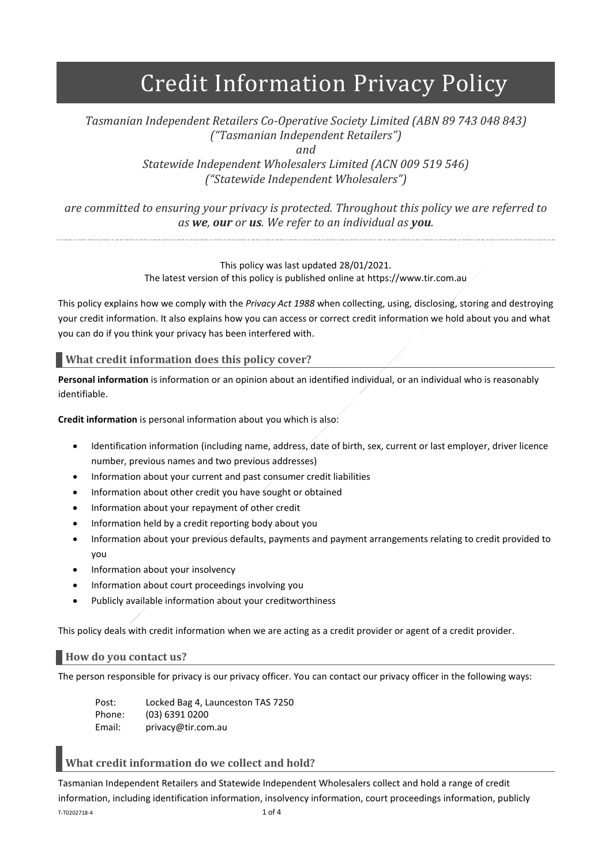# Credit Information Privacy Policy

## *Tasmanian Independent Retailers Co-Operative Society Limited (ABN 89 743 048 843) ("Tasmanian Independent Retailers") and*

*Statewide Independent Wholesalers Limited (ACN 009 519 546) ("Statewide Independent Wholesalers")*

*are committed to ensuring your privacy is protected. Throughout this policy we are referred to as we, our or us. We refer to an individual as you.*

#### This policy was last updated 28/01/2021. The latest version of this policy is published online at https://www.tir.com.au

This policy explains how we comply with the *Privacy Act 1988* when collecting, using, disclosing, storing and destroying your credit information. It also explains how you can access or correct credit information we hold about you and what you can do if you think your privacy has been interfered with.

**What credit information does this policy cover?**

**Personal information** is information or an opinion about an identified individual, or an individual who is reasonably identifiable.

**Credit information** is personal information about you which is also:

- Identification information (including name, address, date of birth, sex, current or last employer, driver licence number, previous names and two previous addresses)
- Information about your current and past consumer credit liabilities
- Information about other credit you have sought or obtained
- Information about your repayment of other credit
- Information held by a credit reporting body about you
- Information about your previous defaults, payments and payment arrangements relating to credit provided to you
- Information about your insolvency
- Information about court proceedings involving you
- Publicly available information about your creditworthiness

This policy deals with credit information when we are acting as a credit provider or agent of a credit provider.

**How do you contact us?**

The person responsible for privacy is our privacy officer. You can contact our privacy officer in the following ways:

Post: Locked Bag 4, Launceston TAS 7250 Phone: (03) 6391 0200 Email: privacy@tir.com.au

## **What credit information do we collect and hold?**

T-T0202718-4 1 of 4 Tasmanian Independent Retailers and Statewide Independent Wholesalers collect and hold a range of credit information, including identification information, insolvency information, court proceedings information, publicly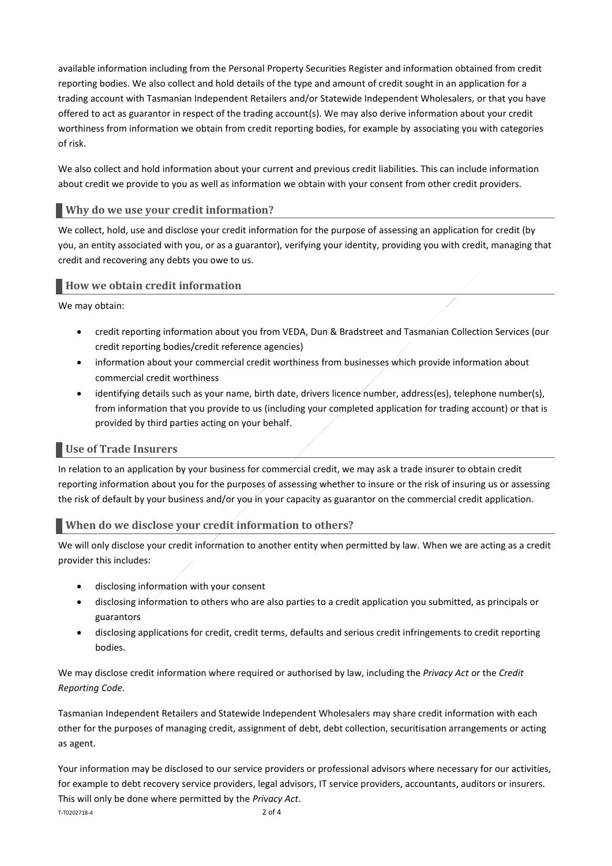available information including from the Personal Property Securities Register and information obtained from credit reporting bodies. We also collect and hold details of the type and amount of credit sought in an application for a trading account with Tasmanian Independent Retailers and/or Statewide Independent Wholesalers, or that you have offered to act as guarantor in respect of the trading account(s). We may also derive information about your credit worthiness from information we obtain from credit reporting bodies, for example by associating you with categories of risk.

We also collect and hold information about your current and previous credit liabilities. This can include information about credit we provide to you as well as information we obtain with your consent from other credit providers.

## **Why do we use your credit information?**

We collect, hold, use and disclose your credit information for the purpose of assessing an application for credit (by you, an entity associated with you, or as a guarantor), verifying your identity, providing you with credit, managing that credit and recovering any debts you owe to us.

#### **How we obtain credit information**

We may obtain:

- credit reporting information about you from VEDA, Dun & Bradstreet and Tasmanian Collection Services (our credit reporting bodies/credit reference agencies)
- information about your commercial credit worthiness from businesses which provide information about commercial credit worthiness
- identifying details such as your name, birth date, drivers licence number, address(es), telephone number(s), from information that you provide to us (including your completed application for trading account) or that is provided by third parties acting on your behalf.

#### **Use of Trade Insurers**

In relation to an application by your business for commercial credit, we may ask a trade insurer to obtain credit reporting information about you for the purposes of assessing whether to insure or the risk of insuring us or assessing the risk of default by your business and/or you in your capacity as guarantor on the commercial credit application.

#### **When do we disclose your credit information to others?**

We will only disclose your credit information to another entity when permitted by law. When we are acting as a credit provider this includes:

- disclosing information with your consent
- disclosing information to others who are also parties to a credit application you submitted, as principals or guarantors
- disclosing applications for credit, credit terms, defaults and serious credit infringements to credit reporting bodies.

We may disclose credit information where required or authorised by law, including the *Privacy Act* or the *Credit Reporting Code*.

Tasmanian Independent Retailers and Statewide Independent Wholesalers may share credit information with each other for the purposes of managing credit, assignment of debt, debt collection, securitisation arrangements or acting as agent.

T-T0202718-4 2 of 4 Your information may be disclosed to our service providers or professional advisors where necessary for our activities, for example to debt recovery service providers, legal advisors, IT service providers, accountants, auditors or insurers. This will only be done where permitted by the *Privacy Act*.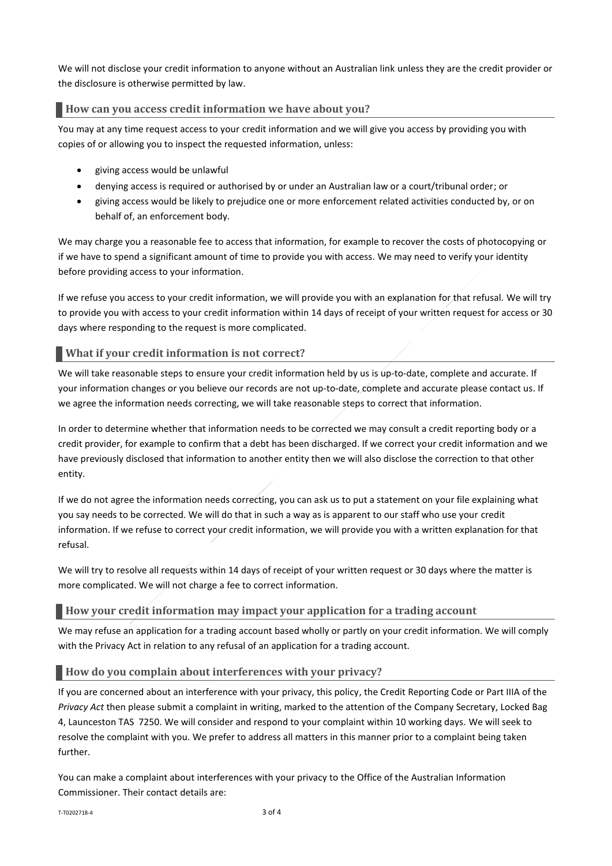We will not disclose your credit information to anyone without an Australian link unless they are the credit provider or the disclosure is otherwise permitted by law.

## **How can you access credit information we have about you?**

You may at any time request access to your credit information and we will give you access by providing you with copies of or allowing you to inspect the requested information, unless:

- giving access would be unlawful
- denying access is required or authorised by or under an Australian law or a court/tribunal order; or
- giving access would be likely to prejudice one or more enforcement related activities conducted by, or on behalf of, an enforcement body.

We may charge you a reasonable fee to access that information, for example to recover the costs of photocopying or if we have to spend a significant amount of time to provide you with access. We may need to verify your identity before providing access to your information.

If we refuse you access to your credit information, we will provide you with an explanation for that refusal. We will try to provide you with access to your credit information within 14 days of receipt of your written request for access or 30 days where responding to the request is more complicated.

## **What if your credit information is not correct?**

We will take reasonable steps to ensure your credit information held by us is up-to-date, complete and accurate. If your information changes or you believe our records are not up-to-date, complete and accurate please contact us. If we agree the information needs correcting, we will take reasonable steps to correct that information.

In order to determine whether that information needs to be corrected we may consult a credit reporting body or a credit provider, for example to confirm that a debt has been discharged. If we correct your credit information and we have previously disclosed that information to another entity then we will also disclose the correction to that other entity.

If we do not agree the information needs correcting, you can ask us to put a statement on your file explaining what you say needs to be corrected. We will do that in such a way as is apparent to our staff who use your credit information. If we refuse to correct your credit information, we will provide you with a written explanation for that refusal.

We will try to resolve all requests within 14 days of receipt of your written request or 30 days where the matter is more complicated. We will not charge a fee to correct information.

## **How your credit information may impact your application for a trading account**

We may refuse an application for a trading account based wholly or partly on your credit information. We will comply with the Privacy Act in relation to any refusal of an application for a trading account.

## **How do you complain about interferences with your privacy?**

If you are concerned about an interference with your privacy, this policy, the Credit Reporting Code or Part IIIA of the *Privacy Act* then please submit a complaint in writing, marked to the attention of the Company Secretary, Locked Bag 4, Launceston TAS 7250. We will consider and respond to your complaint within 10 working days. We will seek to resolve the complaint with you. We prefer to address all matters in this manner prior to a complaint being taken further.

You can make a complaint about interferences with your privacy to the Office of the Australian Information Commissioner. Their contact details are: